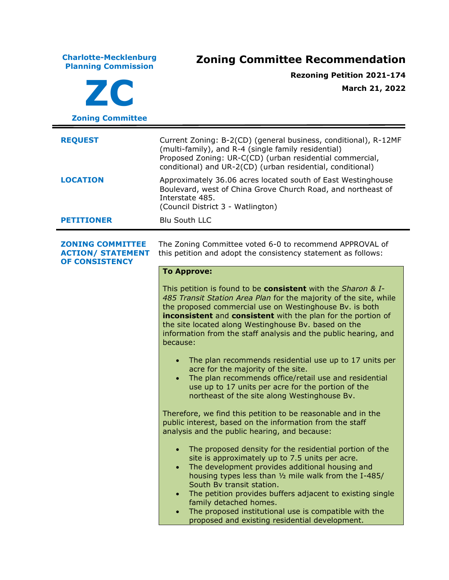**Charlotte-Mecklenburg Planning Commission Zoning Committee Recommendation ZC Zoning Committee Rezoning Petition 2021-174 March 21, 2022 REQUEST** Current Zoning: B-2(CD) (general business, conditional), R-12MF (multi-family), and R-4 (single family residential) Proposed Zoning: UR-C(CD) (urban residential commercial, conditional) and UR-2(CD) (urban residential, conditional) **LOCATION** Approximately 36.06 acres located south of East Westinghouse Boulevard, west of China Grove Church Road, and northeast of Interstate 485. (Council District 3 - Watlington) **PETITIONER** Blu South LLC **ZONING COMMITTEE ACTION/ STATEMENT OF CONSISTENCY** The Zoning Committee voted 6-0 to recommend APPROVAL of this petition and adopt the consistency statement as follows: **To Approve:** This petition is found to be **consistent** with the *Sharon & I-485 Transit Station Area Plan* for the majority of the site, while the proposed commercial use on Westinghouse Bv. is both **inconsistent** and **consistent** with the plan for the portion of the site located along Westinghouse Bv. based on the information from the staff analysis and the public hearing, and because: • The plan recommends residential use up to 17 units per acre for the majority of the site. • The plan recommends office/retail use and residential use up to 17 units per acre for the portion of the northeast of the site along Westinghouse Bv. Therefore, we find this petition to be reasonable and in the public interest, based on the information from the staff analysis and the public hearing, and because: • The proposed density for the residential portion of the site is approximately up to 7.5 units per acre. • The development provides additional housing and housing types less than ½ mile walk from the I-485/ South Bv transit station. The petition provides buffers adjacent to existing single family detached homes. • The proposed institutional use is compatible with the proposed and existing residential development.